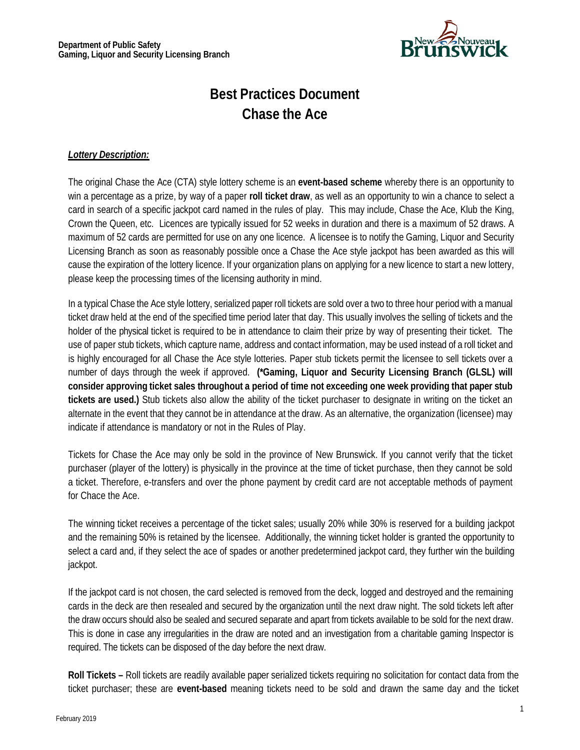

# **Best Practices Document Chase the Ace**

#### *Lottery Description:*

The original Chase the Ace (CTA) style lottery scheme is an **event-based scheme** whereby there is an opportunity to win a percentage as a prize, by way of a paper **roll ticket draw**, as well as an opportunity to win a chance to select a card in search of a specific jackpot card named in the rules of play. This may include, Chase the Ace, Klub the King, Crown the Queen, etc. Licences are typically issued for 52 weeks in duration and there is a maximum of 52 draws. A maximum of 52 cards are permitted for use on any one licence. A licensee is to notify the Gaming, Liquor and Security Licensing Branch as soon as reasonably possible once a Chase the Ace style jackpot has been awarded as this will cause the expiration of the lottery licence. If your organization plans on applying for a new licence to start a new lottery, please keep the processing times of the licensing authority in mind.

In a typical Chase the Ace style lottery, serialized paper roll tickets are sold over a two to three hour period with a manual ticket draw held at the end of the specified time period later that day. This usually involves the selling of tickets and the holder of the physical ticket is required to be in attendance to claim their prize by way of presenting their ticket. The use of paper stub tickets, which capture name, address and contact information, may be used instead of a roll ticket and is highly encouraged for all Chase the Ace style lotteries. Paper stub tickets permit the licensee to sell tickets over a number of days through the week if approved. **(\*Gaming, Liquor and Security Licensing Branch (GLSL) will consider approving ticket sales throughout a period of time not exceeding one week providing that paper stub tickets are used.)** Stub tickets also allow the ability of the ticket purchaser to designate in writing on the ticket an alternate in the event that they cannot be in attendance at the draw. As an alternative, the organization (licensee) may indicate if attendance is mandatory or not in the Rules of Play.

Tickets for Chase the Ace may only be sold in the province of New Brunswick. If you cannot verify that the ticket purchaser (player of the lottery) is physically in the province at the time of ticket purchase, then they cannot be sold a ticket. Therefore, e-transfers and over the phone payment by credit card are not acceptable methods of payment for Chace the Ace.

The winning ticket receives a percentage of the ticket sales; usually 20% while 30% is reserved for a building jackpot and the remaining 50% is retained by the licensee. Additionally, the winning ticket holder is granted the opportunity to select a card and, if they select the ace of spades or another predetermined jackpot card, they further win the building jackpot.

If the jackpot card is not chosen, the card selected is removed from the deck, logged and destroyed and the remaining cards in the deck are then resealed and secured by the organization until the next draw night. The sold tickets left after the draw occurs should also be sealed and secured separate and apart from tickets available to be sold for the next draw. This is done in case any irregularities in the draw are noted and an investigation from a charitable gaming Inspector is required. The tickets can be disposed of the day before the next draw.

**Roll Tickets –** Roll tickets are readily available paper serialized tickets requiring no solicitation for contact data from the ticket purchaser; these are **event-based** meaning tickets need to be sold and drawn the same day and the ticket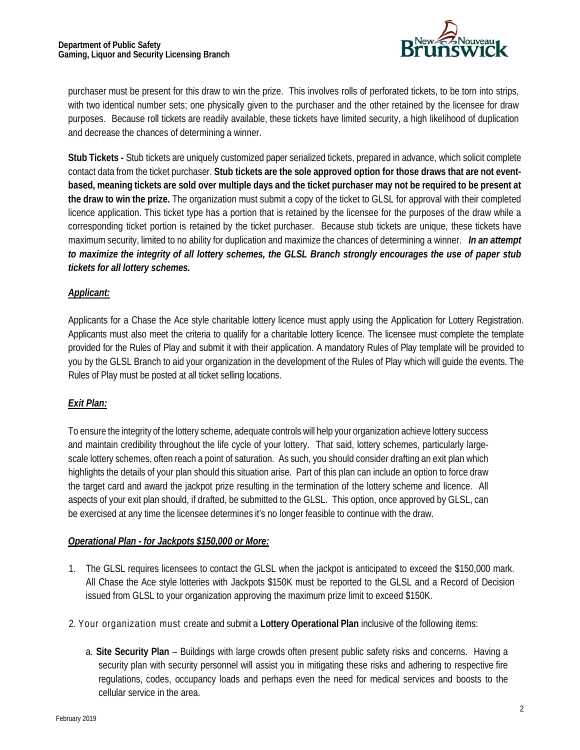

purchaser must be present for this draw to win the prize. This involves rolls of perforated tickets, to be torn into strips, with two identical number sets; one physically given to the purchaser and the other retained by the licensee for draw purposes. Because roll tickets are readily available, these tickets have limited security, a high likelihood of duplication and decrease the chances of determining a winner.

**Stub Tickets -** Stub tickets are uniquely customized paper serialized tickets, prepared in advance, which solicit complete contact data from the ticket purchaser. **Stub tickets are the sole approved option for those draws that are not event**based, meaning tickets are sold over multiple days and the ticket purchaser may not be required to be present at **the draw to win the prize.** The organization must submit a copy of the ticket to GLSL for approval with their completed licence application. This ticket type has a portion that is retained by the licensee for the purposes of the draw while a corresponding ticket portion is retained by the ticket purchaser. Because stub tickets are unique, these tickets have maximum security, limited to no ability for duplication and maximize the chances of determining a winner. *In an attempt to maximize the integrity of all lottery schemes, the GLSL Branch strongly encourages the use of paper stub tickets for all lottery schemes.*

### *Applicant:*

Applicants for a Chase the Ace style charitable lottery licence must apply using the Application for Lottery Registration. Applicants must also meet the criteria to qualify for a charitable lottery licence. The licensee must complete the template provided for the Rules of Play and submit it with their application. A mandatory Rules of Play template will be provided to you by the GLSL Branch to aid your organization in the development of the Rules of Play which will guide the events. The Rules of Play must be posted at all ticket selling locations.

## *Exit Plan:*

To ensure the integrity of the lottery scheme, adequate controls will help your organization achieve lottery success and maintain credibility throughout the life cycle of your lottery. That said, lottery schemes, particularly largescale lottery schemes, often reach a point of saturation. As such, you should consider drafting an exit plan which highlights the details of your plan should this situation arise. Part of this plan can include an option to force draw the target card and award the jackpot prize resulting in the termination of the lottery scheme and licence. All aspects of your exit plan should, if drafted, be submitted to the GLSL. This option, once approved by GLSL, can be exercised at any time the licensee determines it's no longer feasible to continue with the draw.

#### *Operational Plan - for Jackpots \$150,000 or More:*

- 1. The GLSL requires licensees to contact the GLSL when the jackpot is anticipated to exceed the \$150,000 mark. All Chase the Ace style lotteries with Jackpots \$150K must be reported to the GLSL and a Record of Decision issued from GLSL to your organization approving the maximum prize limit to exceed \$150K.
- 2. Your organization must create and submit a **Lottery Operational Plan** inclusive of the following items:
	- a. **Site Security Plan** Buildings with large crowds often present public safety risks and concerns. Having a security plan with security personnel will assist you in mitigating these risks and adhering to respective fire regulations, codes, occupancy loads and perhaps even the need for medical services and boosts to the cellular service in the area.